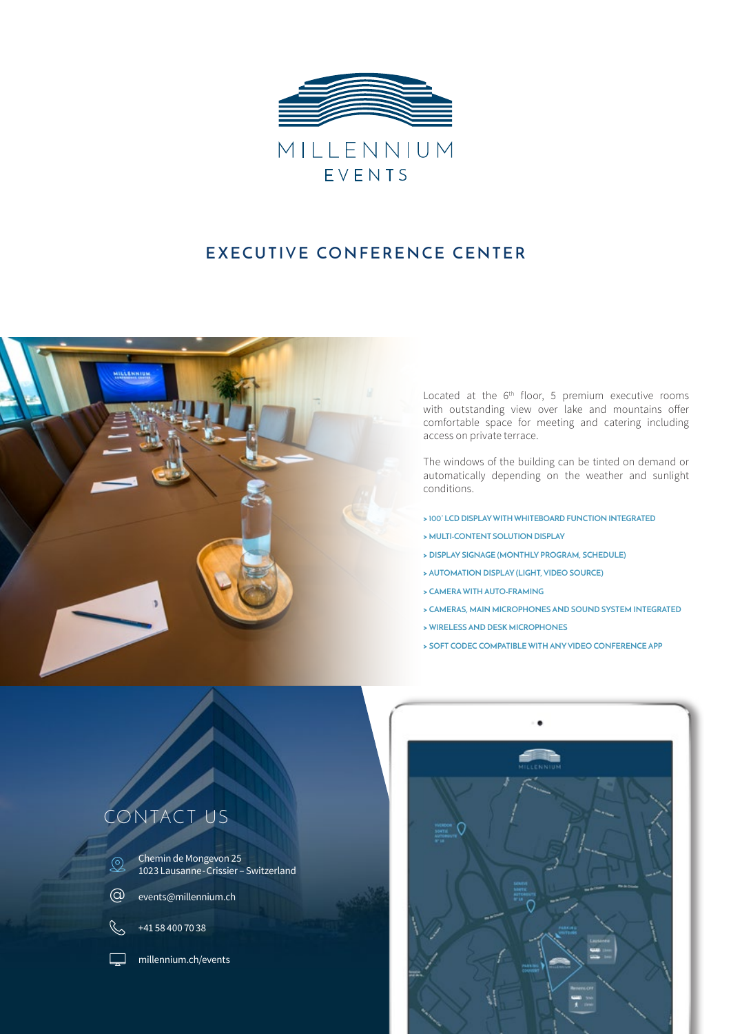

### **EXECUTIVE CONFERENCE CENTER**



Located at the 6<sup>th</sup> floor, 5 premium executive rooms with outstanding view over lake and mountains offer comfortable space for meeting and catering including access on private terrace.

The windows of the building can be tinted on demand or automatically depending on the weather and sunlight conditions.

- **> 100" LCD DISPLAY WITH WHITEBOARD FUNCTION INTEGRATED**
- **> MULTI-CONTENT SOLUTION DISPLAY**
- **> DISPLAY SIGNAGE (MONTHLY PROGRAM, SCHEDULE)**
- **> AUTOMATION DISPLAY (LIGHT, VIDEO SOURCE)**
- **> CAMERA WITH AUTO-FRAMING**
- **> CAMERAS, MAIN MICROPHONES AND SOUND SYSTEM INTEGRATED**
- **> WIRELESS AND DESK MICROPHONES**
- **> SOFT CODEC COMPATIBLE WITH ANY VIDEO CONFERENCE APP**



# CONTACT US

Chemin de Mongevon 25  $\bigotimes$ 1023 Lausanne-Crissier – Switzerland

- @ events[@millennium.](mailto:accueil%40millennium.ch?subject=)ch
- $\mathbb{C}$ +41 58 400 70 38
	- millennium.ch/events